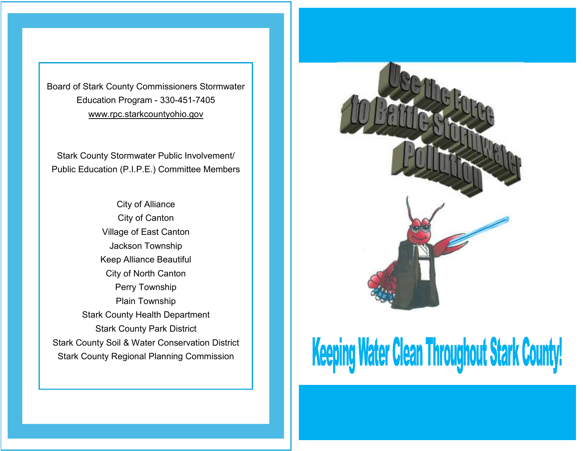Board of Stark County Commissioners Stormwater Education Program - 330-451-7405 www.rpc.starkcountyohio.gov

Stark County Stormwater Public Involvement/ Public Education (P.I.P.E.) Committee Members

City of Alliance City of Canton Village of East Canton Jackson Township Keep Alliance Beautiful City of North Canton Perry Township Plain Township Stark County Health Department Stark County Park District Stark County Soil & Water Conservation District Stark County Regional Planning Commission



## Keeping Water Clean Throughout Stark County!